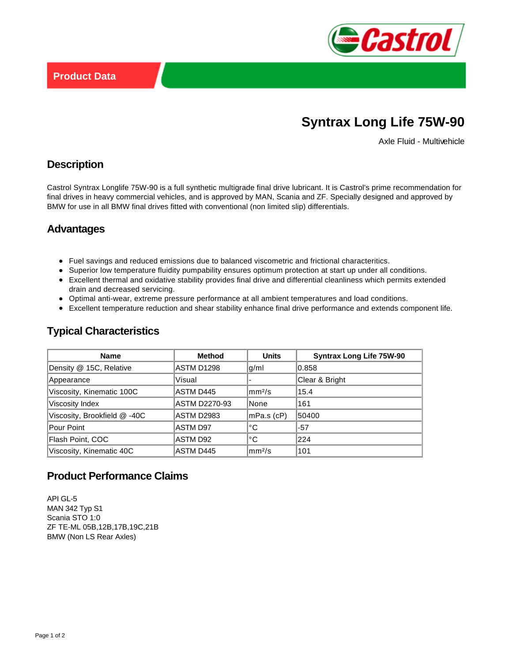

# **Syntrax Long Life 75W-90**

Axle Fluid - Multivehicle

## **Description**

Castrol Syntrax Longlife 75W-90 is a full synthetic multigrade final drive lubricant. It is Castrol's prime recommendation for final drives in heavy commercial vehicles, and is approved by MAN, Scania and ZF. Specially designed and approved by BMW for use in all BMW final drives fitted with conventional (non limited slip) differentials.

## **Advantages**

- Fuel savings and reduced emissions due to balanced viscometric and frictional characteritics.
- Superior low temperature fluidity pumpability ensures optimum protection at start up under all conditions.
- Excellent thermal and oxidative stability provides final drive and differential cleanliness which permits extended drain and decreased servicing.
- Optimal anti-wear, extreme pressure performance at all ambient temperatures and load conditions.
- Excellent temperature reduction and shear stability enhance final drive performance and extends component life.

| <b>Name</b>                  | <b>Method</b>        | <b>Units</b>         | <b>Syntrax Long Life 75W-90</b> |
|------------------------------|----------------------|----------------------|---------------------------------|
| Density @ 15C, Relative      | <b>ASTM D1298</b>    | q/m                  | 0.858                           |
| Appearance                   | Visual               |                      | Clear & Bright                  |
| Viscosity, Kinematic 100C    | ASTM D445            | mm <sup>2</sup> /s   | 15.4                            |
| Viscosity Index              | <b>ASTM D2270-93</b> | None                 | 161                             |
| Viscosity, Brookfield @ -40C | <b>ASTM D2983</b>    | $mPa.s$ (cP)         | 50400                           |
| Pour Point                   | <b>ASTM D97</b>      | ∣°C                  | $-57$                           |
| Flash Point, COC             | ASTM D92             | °C                   | 224                             |
| Viscosity, Kinematic 40C     | ASTM D445            | $\rm{mm}^{2}/\rm{s}$ | 101                             |

#### **Typical Characteristics**

# **Product Performance Claims**

API GL-5 MAN 342 Typ S1 Scania STO 1:0 ZF TE-ML 05B,12B,17B,19C,21B BMW (Non LS Rear Axles)